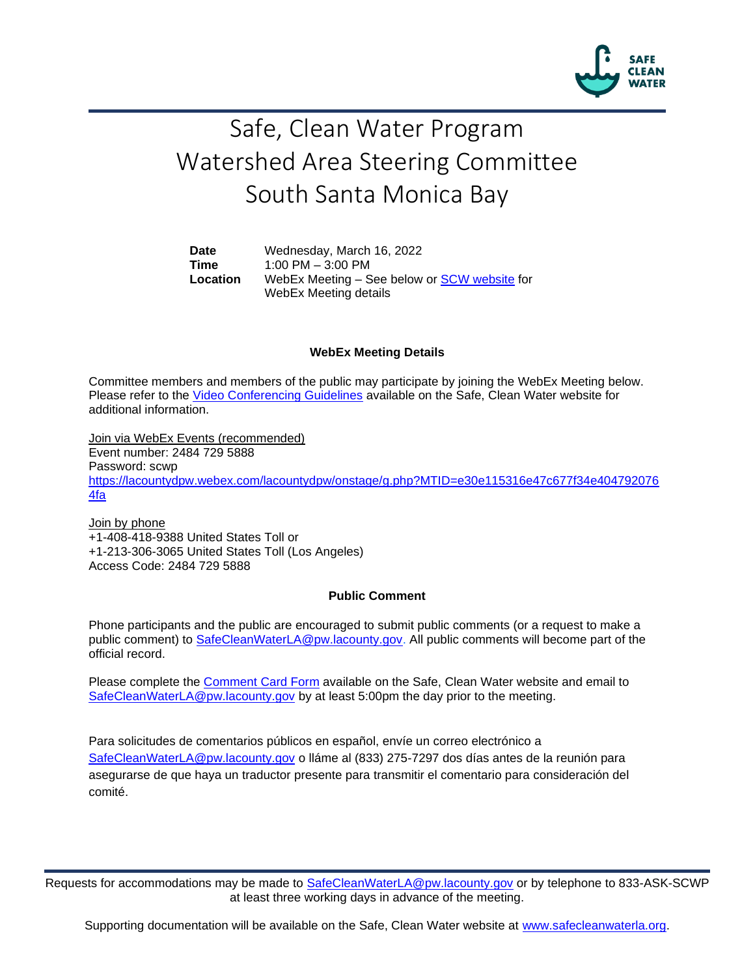

# Safe, Clean Water Program Watershed Area Steering Committee South Santa Monica Bay

**Date** Wednesday, March 16, 2022 **Time** 1:00 PM – 3:00 PM **Location** WebEx Meeting – See below or [SCW website](https://safecleanwaterla.org/south-santa-monica-bay-watershed-area/) for WebEx Meeting details

#### **WebEx Meeting Details**

Committee members and members of the public may participate by joining the WebEx Meeting below. Please refer to the [Video Conferencing Guidelines](https://safecleanwaterla.org/video-conference-guidelines/) available on the Safe, Clean Water website for additional information.

Join via WebEx Events (recommended) Event number: 2484 729 5888 Password: scwp [https://lacountydpw.webex.com/lacountydpw/onstage/g.php?MTID=e30e115316e47c677f34e404792076](https://lacountydpw.webex.com/lacountydpw/onstage/g.php?MTID=e30e115316e47c677f34e4047920764fa) [4fa](https://lacountydpw.webex.com/lacountydpw/onstage/g.php?MTID=e30e115316e47c677f34e4047920764fa)

Join by phone +1-408-418-9388 United States Toll or +1-213-306-3065 United States Toll (Los Angeles) Access Code: 2484 729 5888

#### **Public Comment**

Phone participants and the public are encouraged to submit public comments (or a request to make a public comment) to [SafeCleanWaterLA@pw.lacounty.gov.](mailto:SafeCleanWaterLA@pw.lacounty.gov) All public comments will become part of the official record.

Please complete the Comment [Card Form](https://safecleanwaterla.org/wp-content/uploads/2020/04/Comment-Card-Form.pdf) available on the Safe, Clean Water website and email to [SafeCleanWaterLA@pw.lacounty.gov](mailto:SafeCleanWaterLA@pw.lacounty.gov) by at least 5:00pm the day prior to the meeting.

Para solicitudes de comentarios públicos en español, envíe un correo electrónico a [SafeCleanWaterLA@pw.lacounty.gov](mailto:SafeCleanWaterLA@pw.lacounty.gov) o lláme al (833) 275-7297 dos días antes de la reunión para asegurarse de que haya un traductor presente para transmitir el comentario para consideración del comité.

Requests for accommodations may be made to [SafeCleanWaterLA@pw.lacounty.gov](mailto:SafeCleanWaterLA@pw.lacounty.gov) or by telephone to 833-ASK-SCWP at least three working days in advance of the meeting.

Supporting documentation will be available on the Safe, Clean Water website at [www.safecleanwaterla.org.](http://www.safecleanwaterla.org/)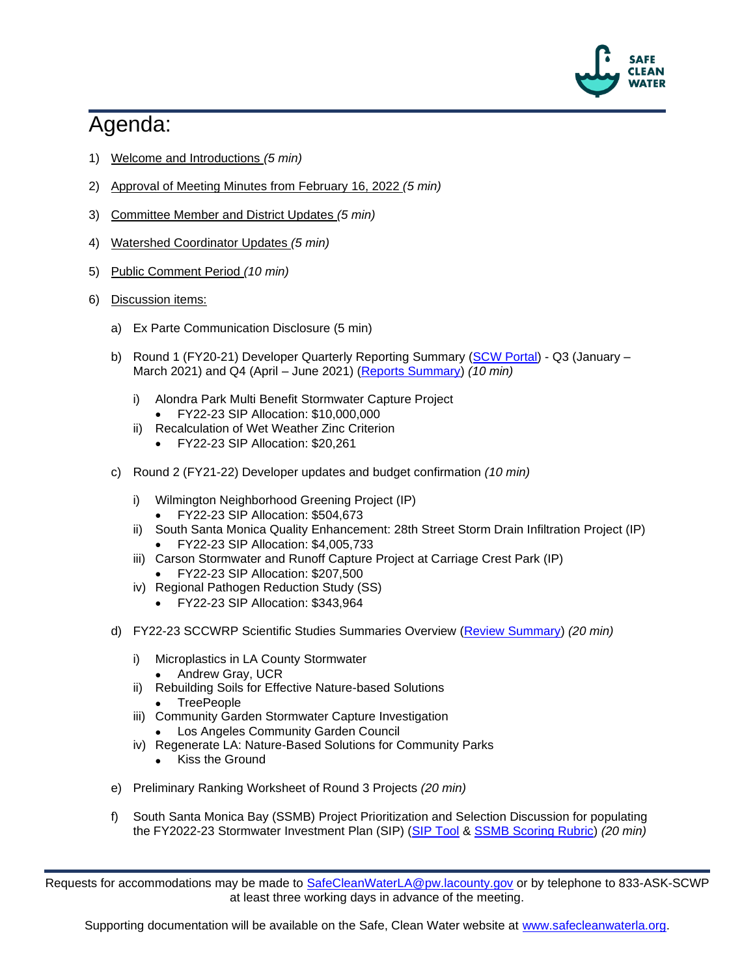

## Agenda:

- 1) Welcome and Introductions *(5 min)*
- 2) Approval of Meeting Minutes from February 16, 2022 *(5 min)*
- 3) Committee Member and District Updates *(5 min)*
- 4) Watershed Coordinator Updates *(5 min)*
- 5) Public Comment Period *(10 min)*
- 6) Discussion items:
	- a) Ex Parte Communication Disclosure (5 min)
	- b) Round 1 (FY20-21) Developer Quarterly Reporting Summary [\(SCW Portal\)](https://portal.safecleanwaterla.org/scw-reporting/dashboard) Q3 (January -March 2021) and Q4 (April – June 2021) [\(Reports Summary\)](https://safecleanwaterla.org/wp-content/uploads/2022/02/SSMB-Quarterly-Report-Summary-20220105.pdf) *(10 min)*
		- i) Alondra Park Multi Benefit Stormwater Capture Project
			- FY22-23 SIP Allocation: \$10,000,000
		- ii) Recalculation of Wet Weather Zinc Criterion
			- FY22-23 SIP Allocation: \$20,261
	- c) Round 2 (FY21-22) Developer updates and budget confirmation *(10 min)*
		- i) Wilmington Neighborhood Greening Project (IP)
			- FY22-23 SIP Allocation: \$504,673
		- ii) South Santa Monica Quality Enhancement: 28th Street Storm Drain Infiltration Project (IP) • FY22-23 SIP Allocation: \$4,005,733
		- iii) Carson Stormwater and Runoff Capture Project at Carriage Crest Park (IP)
			- FY22-23 SIP Allocation: \$207,500
		- iv) Regional Pathogen Reduction Study (SS)
			- FY22-23 SIP Allocation: \$343,964
	- d) FY22-23 SCCWRP Scientific Studies Summaries Overview [\(Review Summary\)](https://safecleanwaterla.org/wp-content/uploads/2022/03/SCCWRP-SSMB-SS-FY22-23-Summary.pdf) *(20 min)*
		- i) Microplastics in LA County Stormwater
			- Andrew Gray, UCR
		- ii) Rebuilding Soils for Effective Nature-based Solutions
			- TreePeople
		- iii) Community Garden Stormwater Capture Investigation Los Angeles Community Garden Council
		- iv) Regenerate LA: Nature-Based Solutions for Community Parks
			- Kiss the Ground
	- e) Preliminary Ranking Worksheet of Round 3 Projects *(20 min)*
	- f) South Santa Monica Bay (SSMB) Project Prioritization and Selection Discussion for populating the FY2022-23 Stormwater Investment Plan (SIP) [\(SIP Tool](https://portal.safecleanwaterla.org/sip-tool/) & [SSMB Scoring Rubric\)](https://safecleanwaterla.org/wp-content/uploads/2022/02/SSMB-Scoring-Rubric-FY22-23.pdf) *(20 min)*

Requests for accommodations may be made to [SafeCleanWaterLA@pw.lacounty.gov](mailto:SafeCleanWaterLA@pw.lacounty.gov) or by telephone to 833-ASK-SCWP at least three working days in advance of the meeting.

Supporting documentation will be available on the Safe, Clean Water website at [www.safecleanwaterla.org.](http://www.safecleanwaterla.org/)